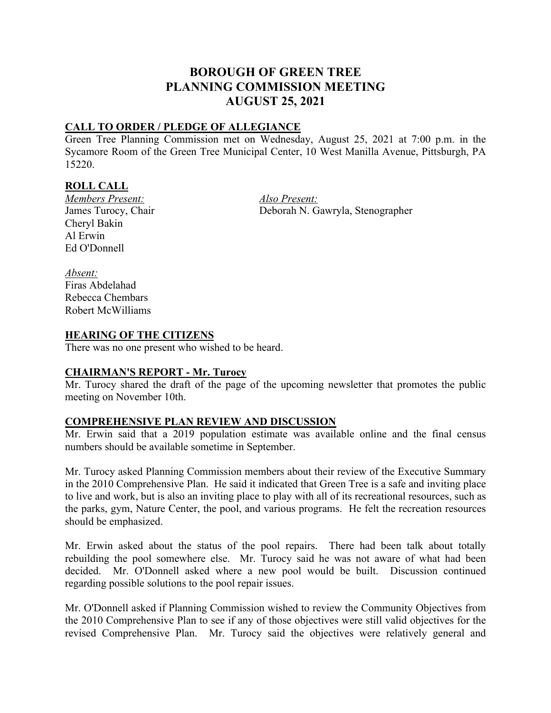# **BOROUGH OF GREEN TREE PLANNING COMMISSION MEETING AUGUST 25, 2021**

# **CALL TO ORDER / PLEDGE OF ALLEGIANCE**

Green Tree Planning Commission met on Wednesday, August 25, 2021 at 7:00 p.m. in the Sycamore Room of the Green Tree Municipal Center, 10 West Manilla Avenue, Pittsburgh, PA 15220.

## **ROLL CALL**

*Members Present: Also Present:*  Cheryl Bakin Al Erwin Ed O'Donnell

Deborah N. Gawryla, Stenographer

*Absent:* Firas Abdelahad Rebecca Chembars Robert McWilliams

#### **HEARING OF THE CITIZENS**

There was no one present who wished to be heard.

#### **CHAIRMAN'S REPORT - Mr. Turocy**

Mr. Turocy shared the draft of the page of the upcoming newsletter that promotes the public meeting on November 10th.

#### **COMPREHENSIVE PLAN REVIEW AND DISCUSSION**

Mr. Erwin said that a 2019 population estimate was available online and the final census numbers should be available sometime in September.

Mr. Turocy asked Planning Commission members about their review of the Executive Summary in the 2010 Comprehensive Plan. He said it indicated that Green Tree is a safe and inviting place to live and work, but is also an inviting place to play with all of its recreational resources, such as the parks, gym, Nature Center, the pool, and various programs. He felt the recreation resources should be emphasized.

Mr. Erwin asked about the status of the pool repairs. There had been talk about totally rebuilding the pool somewhere else. Mr. Turocy said he was not aware of what had been decided. Mr. O'Donnell asked where a new pool would be built. Discussion continued regarding possible solutions to the pool repair issues.

Mr. O'Donnell asked if Planning Commission wished to review the Community Objectives from the 2010 Comprehensive Plan to see if any of those objectives were still valid objectives for the revised Comprehensive Plan. Mr. Turocy said the objectives were relatively general and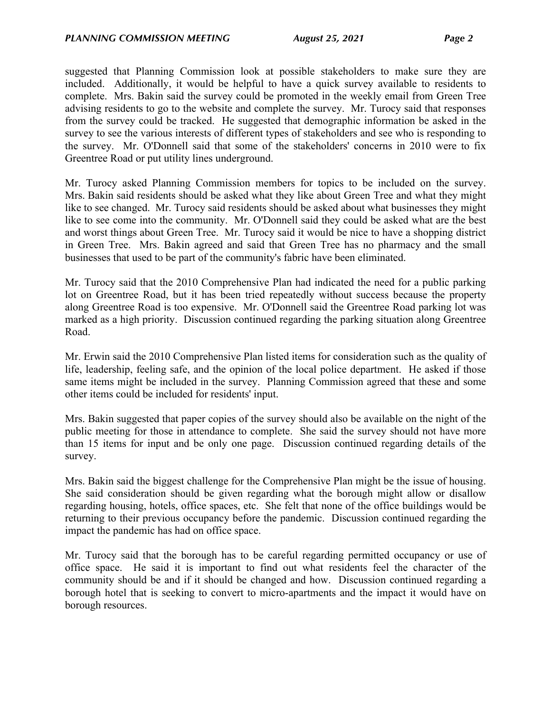suggested that Planning Commission look at possible stakeholders to make sure they are included. Additionally, it would be helpful to have a quick survey available to residents to complete. Mrs. Bakin said the survey could be promoted in the weekly email from Green Tree advising residents to go to the website and complete the survey. Mr. Turocy said that responses from the survey could be tracked. He suggested that demographic information be asked in the survey to see the various interests of different types of stakeholders and see who is responding to the survey. Mr. O'Donnell said that some of the stakeholders' concerns in 2010 were to fix Greentree Road or put utility lines underground.

Mr. Turocy asked Planning Commission members for topics to be included on the survey. Mrs. Bakin said residents should be asked what they like about Green Tree and what they might like to see changed. Mr. Turocy said residents should be asked about what businesses they might like to see come into the community. Mr. O'Donnell said they could be asked what are the best and worst things about Green Tree. Mr. Turocy said it would be nice to have a shopping district in Green Tree. Mrs. Bakin agreed and said that Green Tree has no pharmacy and the small businesses that used to be part of the community's fabric have been eliminated.

Mr. Turocy said that the 2010 Comprehensive Plan had indicated the need for a public parking lot on Greentree Road, but it has been tried repeatedly without success because the property along Greentree Road is too expensive. Mr. O'Donnell said the Greentree Road parking lot was marked as a high priority. Discussion continued regarding the parking situation along Greentree Road.

Mr. Erwin said the 2010 Comprehensive Plan listed items for consideration such as the quality of life, leadership, feeling safe, and the opinion of the local police department. He asked if those same items might be included in the survey. Planning Commission agreed that these and some other items could be included for residents' input.

Mrs. Bakin suggested that paper copies of the survey should also be available on the night of the public meeting for those in attendance to complete. She said the survey should not have more than 15 items for input and be only one page. Discussion continued regarding details of the survey.

Mrs. Bakin said the biggest challenge for the Comprehensive Plan might be the issue of housing. She said consideration should be given regarding what the borough might allow or disallow regarding housing, hotels, office spaces, etc. She felt that none of the office buildings would be returning to their previous occupancy before the pandemic. Discussion continued regarding the impact the pandemic has had on office space.

Mr. Turocy said that the borough has to be careful regarding permitted occupancy or use of office space. He said it is important to find out what residents feel the character of the community should be and if it should be changed and how. Discussion continued regarding a borough hotel that is seeking to convert to micro-apartments and the impact it would have on borough resources.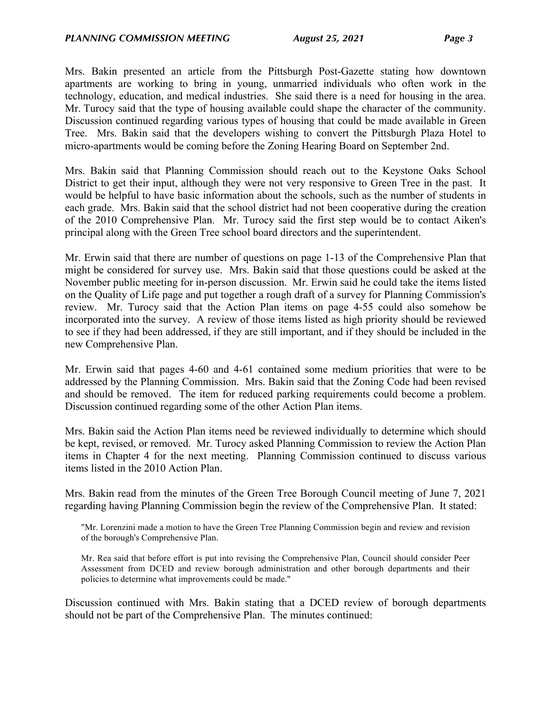Mrs. Bakin presented an article from the Pittsburgh Post-Gazette stating how downtown apartments are working to bring in young, unmarried individuals who often work in the technology, education, and medical industries. She said there is a need for housing in the area. Mr. Turocy said that the type of housing available could shape the character of the community. Discussion continued regarding various types of housing that could be made available in Green Tree. Mrs. Bakin said that the developers wishing to convert the Pittsburgh Plaza Hotel to micro-apartments would be coming before the Zoning Hearing Board on September 2nd.

Mrs. Bakin said that Planning Commission should reach out to the Keystone Oaks School District to get their input, although they were not very responsive to Green Tree in the past. It would be helpful to have basic information about the schools, such as the number of students in each grade. Mrs. Bakin said that the school district had not been cooperative during the creation of the 2010 Comprehensive Plan. Mr. Turocy said the first step would be to contact Aiken's principal along with the Green Tree school board directors and the superintendent.

Mr. Erwin said that there are number of questions on page 1-13 of the Comprehensive Plan that might be considered for survey use. Mrs. Bakin said that those questions could be asked at the November public meeting for in-person discussion. Mr. Erwin said he could take the items listed on the Quality of Life page and put together a rough draft of a survey for Planning Commission's review. Mr. Turocy said that the Action Plan items on page 4-55 could also somehow be incorporated into the survey. A review of those items listed as high priority should be reviewed to see if they had been addressed, if they are still important, and if they should be included in the new Comprehensive Plan.

Mr. Erwin said that pages 4-60 and 4-61 contained some medium priorities that were to be addressed by the Planning Commission. Mrs. Bakin said that the Zoning Code had been revised and should be removed. The item for reduced parking requirements could become a problem. Discussion continued regarding some of the other Action Plan items.

Mrs. Bakin said the Action Plan items need be reviewed individually to determine which should be kept, revised, or removed. Mr. Turocy asked Planning Commission to review the Action Plan items in Chapter 4 for the next meeting. Planning Commission continued to discuss various items listed in the 2010 Action Plan.

Mrs. Bakin read from the minutes of the Green Tree Borough Council meeting of June 7, 2021 regarding having Planning Commission begin the review of the Comprehensive Plan. It stated:

"Mr. Lorenzini made a motion to have the Green Tree Planning Commission begin and review and revision of the borough's Comprehensive Plan.

Mr. Rea said that before effort is put into revising the Comprehensive Plan, Council should consider Peer Assessment from DCED and review borough administration and other borough departments and their policies to determine what improvements could be made."

Discussion continued with Mrs. Bakin stating that a DCED review of borough departments should not be part of the Comprehensive Plan. The minutes continued: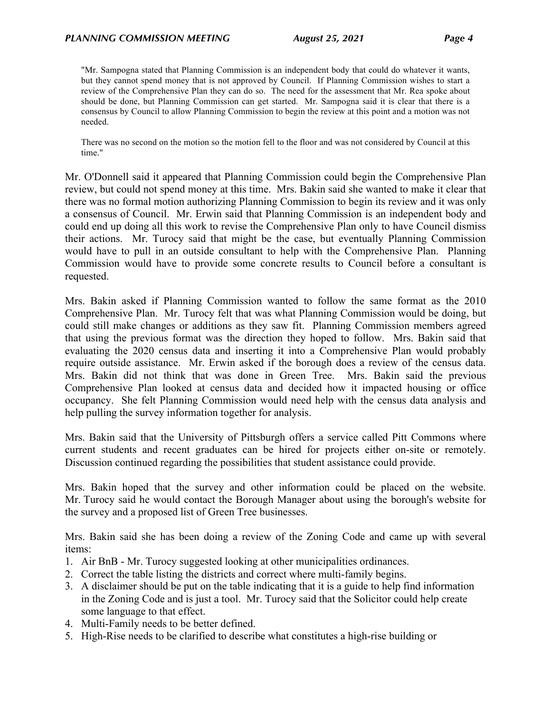"Mr. Sampogna stated that Planning Commission is an independent body that could do whatever it wants, but they cannot spend money that is not approved by Council. If Planning Commission wishes to start a review of the Comprehensive Plan they can do so. The need for the assessment that Mr. Rea spoke about should be done, but Planning Commission can get started. Mr. Sampogna said it is clear that there is a consensus by Council to allow Planning Commission to begin the review at this point and a motion was not needed.

There was no second on the motion so the motion fell to the floor and was not considered by Council at this time."

Mr. O'Donnell said it appeared that Planning Commission could begin the Comprehensive Plan review, but could not spend money at this time. Mrs. Bakin said she wanted to make it clear that there was no formal motion authorizing Planning Commission to begin its review and it was only a consensus of Council. Mr. Erwin said that Planning Commission is an independent body and could end up doing all this work to revise the Comprehensive Plan only to have Council dismiss their actions. Mr. Turocy said that might be the case, but eventually Planning Commission would have to pull in an outside consultant to help with the Comprehensive Plan. Planning Commission would have to provide some concrete results to Council before a consultant is requested.

Mrs. Bakin asked if Planning Commission wanted to follow the same format as the 2010 Comprehensive Plan. Mr. Turocy felt that was what Planning Commission would be doing, but could still make changes or additions as they saw fit. Planning Commission members agreed that using the previous format was the direction they hoped to follow. Mrs. Bakin said that evaluating the 2020 census data and inserting it into a Comprehensive Plan would probably require outside assistance. Mr. Erwin asked if the borough does a review of the census data. Mrs. Bakin did not think that was done in Green Tree. Mrs. Bakin said the previous Comprehensive Plan looked at census data and decided how it impacted housing or office occupancy. She felt Planning Commission would need help with the census data analysis and help pulling the survey information together for analysis.

Mrs. Bakin said that the University of Pittsburgh offers a service called Pitt Commons where current students and recent graduates can be hired for projects either on-site or remotely. Discussion continued regarding the possibilities that student assistance could provide.

Mrs. Bakin hoped that the survey and other information could be placed on the website. Mr. Turocy said he would contact the Borough Manager about using the borough's website for the survey and a proposed list of Green Tree businesses.

Mrs. Bakin said she has been doing a review of the Zoning Code and came up with several items:

- 1. Air BnB Mr. Turocy suggested looking at other municipalities ordinances.
- 2. Correct the table listing the districts and correct where multi-family begins.
- 3. A disclaimer should be put on the table indicating that it is a guide to help find information in the Zoning Code and is just a tool. Mr. Turocy said that the Solicitor could help create some language to that effect.
- 4. Multi-Family needs to be better defined.
- 5. High-Rise needs to be clarified to describe what constitutes a high-rise building or